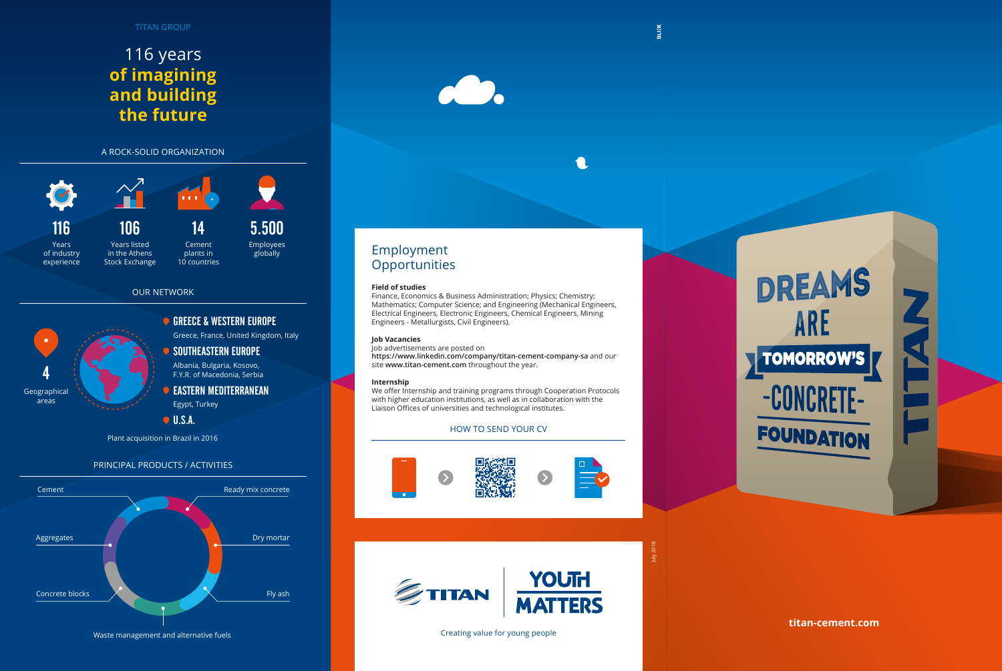# **titan-cement.com**

Creating value for young people



# Employment **Opportunities**

# HOW TO SEND YOUR CV









# $\bigcap$

# PRINCIPAL PRODUCTS / ACTIVITIES

# 116 years **of imagining and building the future**

# **Field of studies**

Finance, Economics & Business Administration; Physics; Chemistry; Mathematics; Computer Science; and Engineering (Mechanical Engineers, Electrical Engineers, Electronic Engineers, Chemical Engineers, Mining Engineers - Metallurgists, Civil Engineers).

### **Job Vacancies**

Job advertisements are posted on **https://www.linkedin.com/company/titan-cement-company-sa** and our site **www.titan-cement.com** throughout the year.

### **Internship**

We offer Internship and training programs through Cooperation Protocols with higher education institutions, as well as in collaboration with the Liaison Offices of universities and technological institutes.



U.S.A.

# Greece, France, United Kingdom, Italy GREECE & WESTERN EUROPE Egypt, Turkey EASTERN MEDITERRANEAN Albania, Bulgaria, Kosovo, F.Y.R. of Macedonia, Serbia SOUTHEASTERN EUROPE 4 Geographical areas

OUR NETWORK

Plant acquisition in Brazil in 2016